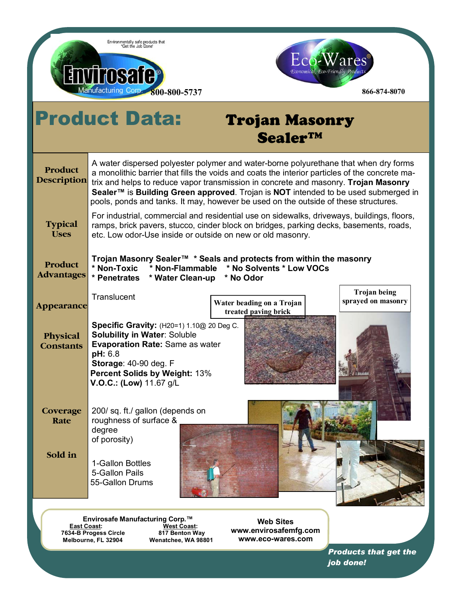



## Product Data: Trojan Masonry Sealer™

| Product<br>Description        | A water dispersed polyester polymer and water-borne polyurethane that when dry forms<br>a monolithic barrier that fills the voids and coats the interior particles of the concrete ma-<br>trix and helps to reduce vapor transmission in concrete and masonry. Trojan Masonry<br>Sealer <sup>™</sup> is Building Green approved. Trojan is NOT intended to be used submerged in<br>pools, ponds and tanks. It may, however be used on the outside of these structures. |
|-------------------------------|------------------------------------------------------------------------------------------------------------------------------------------------------------------------------------------------------------------------------------------------------------------------------------------------------------------------------------------------------------------------------------------------------------------------------------------------------------------------|
| <b>Typical</b><br><b>Uses</b> | For industrial, commercial and residential use on sidewalks, driveways, buildings, floors,<br>ramps, brick pavers, stucco, cinder block on bridges, parking decks, basements, roads,<br>etc. Low odor-Use inside or outside on new or old masonry.                                                                                                                                                                                                                     |
| Product<br><b>Advantages</b>  | Trojan Masonry Sealer™ * Seals and protects from within the masonry<br>* Non-Toxic<br>* No Solvents * Low VOCs<br>* Non-Flammable<br>* Water Clean-up<br>* Penetrates<br>* No Odor                                                                                                                                                                                                                                                                                     |
| <b>Appearance</b>             | <b>Trojan being</b><br>Translucent<br>sprayed on masonry<br>Water beading on a Trojan<br>treated paving brick                                                                                                                                                                                                                                                                                                                                                          |
| Physical<br><b>Constants</b>  | <b>Specific Gravity:</b> (H20=1) 1.10@ 20 Deg C.<br><b>Solubility in Water: Soluble</b><br><b>Evaporation Rate: Same as water</b><br>pH: 6.8<br>Storage: 40-90 deg. F<br>Percent Solids by Weight: 13%<br>V.O.C.: (Low) 11.67 g/L                                                                                                                                                                                                                                      |
| Coverage<br>Rate              | 200/ sq. ft./ gallon (depends on<br>roughness of surface &<br>degree<br>of porosity)                                                                                                                                                                                                                                                                                                                                                                                   |
| Sold in                       | 1-Gallon Bottles<br>5-Gallon Pails<br>55-Gallon Drums                                                                                                                                                                                                                                                                                                                                                                                                                  |

**Envirosafe Manufacturing Corp.™ East Coast: West Coast: 7634-B Progess Circle 817 Benton Way Melbourne, FL 32904 Wenatchee, WA 98801** 

**Web Sites www.envirosafemfg.com www.eco-wares.com**

> *Products that get the job done!*